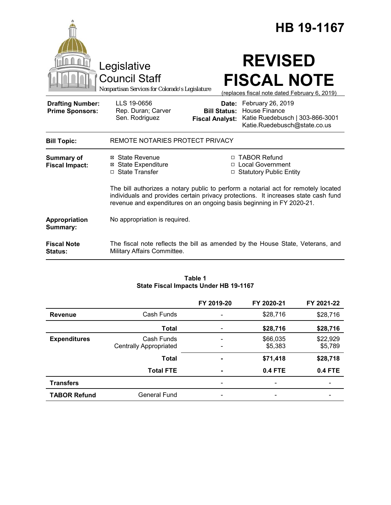|                                                   |                                                                                                                                                                                                                                                   |                                               | HB 19-1167                                                                                                         |
|---------------------------------------------------|---------------------------------------------------------------------------------------------------------------------------------------------------------------------------------------------------------------------------------------------------|-----------------------------------------------|--------------------------------------------------------------------------------------------------------------------|
|                                                   | Legislative<br><b>Council Staff</b><br>Nonpartisan Services for Colorado's Legislature                                                                                                                                                            |                                               | <b>REVISED</b><br><b>FISCAL NOTE</b><br>(replaces fiscal note dated February 6, 2019)                              |
| <b>Drafting Number:</b><br><b>Prime Sponsors:</b> | LLS 19-0656<br>Rep. Duran; Carver<br>Sen. Rodriguez                                                                                                                                                                                               | <b>Bill Status:</b><br><b>Fiscal Analyst:</b> | Date: February 26, 2019<br><b>House Finance</b><br>Katie Ruedebusch   303-866-3001<br>Katie.Ruedebusch@state.co.us |
| <b>Bill Topic:</b>                                | REMOTE NOTARIES PROTECT PRIVACY                                                                                                                                                                                                                   |                                               |                                                                                                                    |
| Summary of<br><b>Fiscal Impact:</b>               | ⊠ State Revenue<br><b>⊠</b> State Expenditure<br>□ State Transfer                                                                                                                                                                                 |                                               | □ TABOR Refund<br>□ Local Government<br><b>Statutory Public Entity</b>                                             |
|                                                   | The bill authorizes a notary public to perform a notarial act for remotely located<br>individuals and provides certain privacy protections. It increases state cash fund<br>revenue and expenditures on an ongoing basis beginning in FY 2020-21. |                                               |                                                                                                                    |
| Appropriation<br>Summary:                         | No appropriation is required.                                                                                                                                                                                                                     |                                               |                                                                                                                    |
| <b>Fiscal Note</b><br><b>Status:</b>              | Military Affairs Committee.                                                                                                                                                                                                                       |                                               | The fiscal note reflects the bill as amended by the House State, Veterans, and                                     |

#### **Table 1 State Fiscal Impacts Under HB 19-1167**

|                     |                               | FY 2019-20     | FY 2020-21     | FY 2021-22 |
|---------------------|-------------------------------|----------------|----------------|------------|
| <b>Revenue</b>      | Cash Funds                    |                | \$28,716       | \$28,716   |
|                     | <b>Total</b>                  |                | \$28,716       | \$28,716   |
| <b>Expenditures</b> | Cash Funds                    |                | \$66,035       | \$22,929   |
|                     | <b>Centrally Appropriated</b> |                | \$5,383        | \$5,789    |
|                     | <b>Total</b>                  | $\blacksquare$ | \$71,418       | \$28,718   |
|                     | <b>Total FTE</b>              |                | <b>0.4 FTE</b> | 0.4 FTE    |
| <b>Transfers</b>    |                               | -              |                |            |
| <b>TABOR Refund</b> | <b>General Fund</b>           |                |                |            |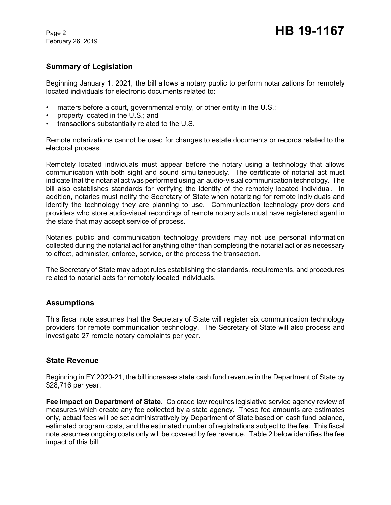February 26, 2019

# **Summary of Legislation**

Beginning January 1, 2021, the bill allows a notary public to perform notarizations for remotely located individuals for electronic documents related to:

- matters before a court, governmental entity, or other entity in the U.S.;
- property located in the U.S.; and
- transactions substantially related to the U.S.

Remote notarizations cannot be used for changes to estate documents or records related to the electoral process.

Remotely located individuals must appear before the notary using a technology that allows communication with both sight and sound simultaneously. The certificate of notarial act must indicate that the notarial act was performed using an audio-visual communication technology. The bill also establishes standards for verifying the identity of the remotely located individual. In addition, notaries must notify the Secretary of State when notarizing for remote individuals and identify the technology they are planning to use. Communication technology providers and providers who store audio-visual recordings of remote notary acts must have registered agent in the state that may accept service of process.

Notaries public and communication technology providers may not use personal information collected during the notarial act for anything other than completing the notarial act or as necessary to effect, administer, enforce, service, or the process the transaction.

The Secretary of State may adopt rules establishing the standards, requirements, and procedures related to notarial acts for remotely located individuals.

### **Assumptions**

This fiscal note assumes that the Secretary of State will register six communication technology providers for remote communication technology. The Secretary of State will also process and investigate 27 remote notary complaints per year.

### **State Revenue**

Beginning in FY 2020-21, the bill increases state cash fund revenue in the Department of State by \$28,716 per year.

**Fee impact on Department of State**. Colorado law requires legislative service agency review of measures which create any fee collected by a state agency. These fee amounts are estimates only, actual fees will be set administratively by Department of State based on cash fund balance, estimated program costs, and the estimated number of registrations subject to the fee. This fiscal note assumes ongoing costs only will be covered by fee revenue. Table 2 below identifies the fee impact of this bill.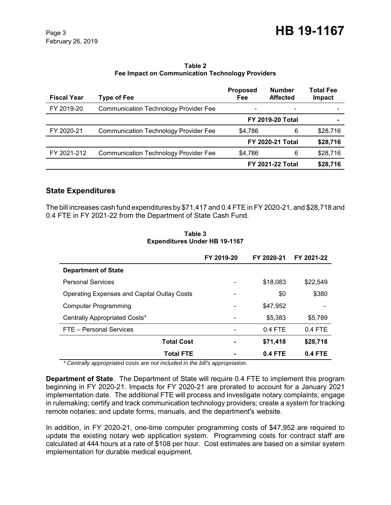**Table 2 Fee Impact on Communication Technology Providers**

| <b>Fiscal Year</b> | Type of Fee                                  | <b>Proposed</b><br>Fee  | <b>Number</b><br><b>Affected</b> | Total Fee<br>Impact |
|--------------------|----------------------------------------------|-------------------------|----------------------------------|---------------------|
| FY 2019-20         | <b>Communication Technology Provider Fee</b> |                         |                                  |                     |
|                    |                                              |                         | <b>FY 2019-20 Total</b>          |                     |
| FY 2020-21         | <b>Communication Technology Provider Fee</b> | \$4,786                 | 6                                | \$28,716            |
|                    |                                              | <b>FY 2020-21 Total</b> |                                  | \$28,716            |
| FY 2021-212        | <b>Communication Technology Provider Fee</b> | \$4,786                 | 6                                | \$28,716            |
|                    |                                              |                         | <b>FY 2021-22 Total</b>          | \$28,716            |

### **State Expenditures**

The bill increases cash fund expenditures by \$71,417 and 0.4 FTE in FY 2020-21, and \$28,718 and 0.4 FTE in FY 2021-22 from the Department of State Cash Fund.

|                                                    | FY 2019-20 | FY 2020-21 | FY 2021-22 |
|----------------------------------------------------|------------|------------|------------|
| <b>Department of State</b>                         |            |            |            |
| <b>Personal Services</b>                           |            | \$18,083   | \$22,549   |
| <b>Operating Expenses and Capital Outlay Costs</b> |            | \$0        | \$380      |
| Computer Programming                               |            | \$47.952   |            |
| Centrally Appropriated Costs*                      |            | \$5,383    | \$5,789    |
| FTE - Personal Services                            |            | $0.4$ FTE  | $0.4$ FTE  |
| <b>Total Cost</b>                                  |            | \$71,418   | \$28,718   |
| <b>Total FTE</b>                                   |            | $0.4$ FTE  | $0.4$ FTE  |

**Table 3 Expenditures Under HB 19-1167**

 *\* Centrally appropriated costs are not included in the bill's appropriation.*

**Department of State**. The Department of State will require 0.4 FTE to implement this program beginning in FY 2020-21. Impacts for FY 2020-21 are prorated to account for a January 2021 implementation date. The additional FTE will process and investigate notary complaints; engage in rulemaking; certify and track communication technology providers; create a system for tracking remote notaries; and update forms, manuals, and the department's website.

In addition, in FY 2020-21, one-time computer programming costs of \$47,952 are required to update the existing notary web application system. Programming costs for contract staff are calculated at 444 hours at a rate of \$108 per hour. Cost estimates are based on a similar system implementation for durable medical equipment.